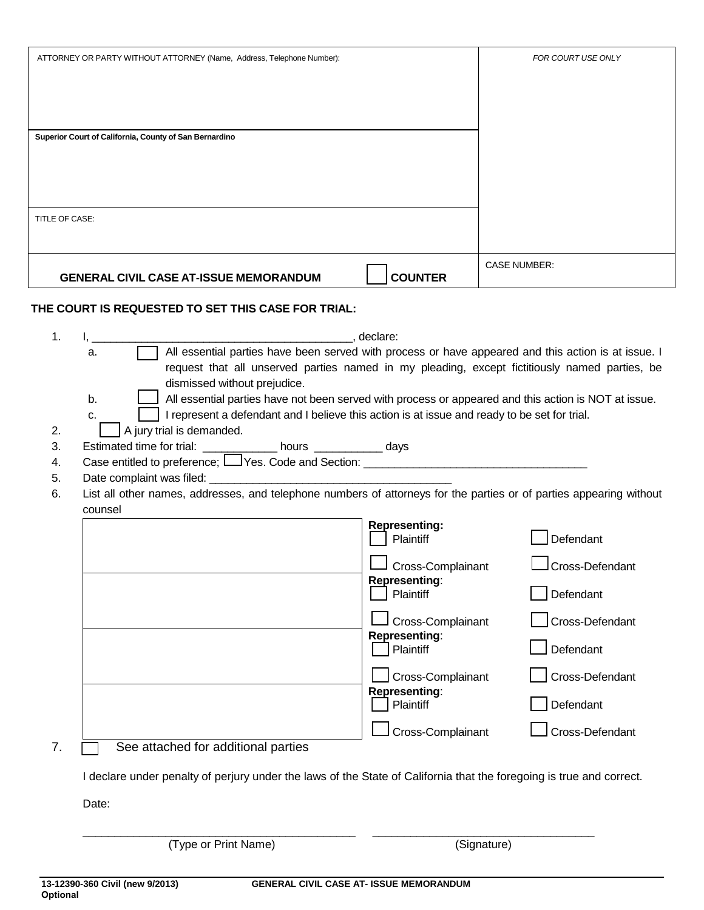| ATTORNEY OR PARTY WITHOUT ATTORNEY (Name, Address, Telephone Number):                                                                                                                                                                                                                                                                                                                                                                                                                                                                                                                                                                                                                                                                             |                                                                                                           | FOR COURT USE ONLY                                           |
|---------------------------------------------------------------------------------------------------------------------------------------------------------------------------------------------------------------------------------------------------------------------------------------------------------------------------------------------------------------------------------------------------------------------------------------------------------------------------------------------------------------------------------------------------------------------------------------------------------------------------------------------------------------------------------------------------------------------------------------------------|-----------------------------------------------------------------------------------------------------------|--------------------------------------------------------------|
|                                                                                                                                                                                                                                                                                                                                                                                                                                                                                                                                                                                                                                                                                                                                                   |                                                                                                           |                                                              |
| Superior Court of California, County of San Bernardino                                                                                                                                                                                                                                                                                                                                                                                                                                                                                                                                                                                                                                                                                            |                                                                                                           |                                                              |
|                                                                                                                                                                                                                                                                                                                                                                                                                                                                                                                                                                                                                                                                                                                                                   |                                                                                                           |                                                              |
|                                                                                                                                                                                                                                                                                                                                                                                                                                                                                                                                                                                                                                                                                                                                                   |                                                                                                           |                                                              |
| TITLE OF CASE:                                                                                                                                                                                                                                                                                                                                                                                                                                                                                                                                                                                                                                                                                                                                    |                                                                                                           |                                                              |
| <b>GENERAL CIVIL CASE AT-ISSUE MEMORANDUM</b>                                                                                                                                                                                                                                                                                                                                                                                                                                                                                                                                                                                                                                                                                                     | <b>COUNTER</b>                                                                                            | <b>CASE NUMBER:</b>                                          |
| THE COURT IS REQUESTED TO SET THIS CASE FOR TRIAL:                                                                                                                                                                                                                                                                                                                                                                                                                                                                                                                                                                                                                                                                                                |                                                                                                           |                                                              |
| 1.<br>declare:<br>All essential parties have been served with process or have appeared and this action is at issue. I<br>а.<br>request that all unserved parties named in my pleading, except fictitiously named parties, be<br>dismissed without prejudice.<br>All essential parties have not been served with process or appeared and this action is NOT at issue.<br>b.<br>I represent a defendant and I believe this action is at issue and ready to be set for trial.<br>c.<br>A jury trial is demanded.<br>2.<br>Estimated time for trial: ______________ hours ____________ days<br>3.<br>4.<br>5.<br>6.<br>List all other names, addresses, and telephone numbers of attorneys for the parties or of parties appearing without<br>counsel | <b>Representing:</b><br>Plaintiff                                                                         | Defendant                                                    |
|                                                                                                                                                                                                                                                                                                                                                                                                                                                                                                                                                                                                                                                                                                                                                   | Cross-Complainant<br>Representing:<br>Plaintiff<br>Cross-Complainant<br><b>Representing:</b><br>Plaintiff | Cross-Defendant<br>Defendant<br>Cross-Defendant<br>Defendant |
|                                                                                                                                                                                                                                                                                                                                                                                                                                                                                                                                                                                                                                                                                                                                                   | Cross-Complainant<br><b>Representing:</b><br>Plaintiff                                                    | Cross-Defendant<br>Defendant                                 |
| 7.<br>See attached for additional parties                                                                                                                                                                                                                                                                                                                                                                                                                                                                                                                                                                                                                                                                                                         | Cross-Complainant                                                                                         | Cross-Defendant                                              |
| I declare under penalty of perjury under the laws of the State of California that the foregoing is true and correct.                                                                                                                                                                                                                                                                                                                                                                                                                                                                                                                                                                                                                              |                                                                                                           |                                                              |
| Date:                                                                                                                                                                                                                                                                                                                                                                                                                                                                                                                                                                                                                                                                                                                                             |                                                                                                           |                                                              |

(Type or Print Name) (Signature)

\_\_\_\_\_\_\_\_\_\_\_\_\_\_\_\_\_\_\_\_\_\_\_\_\_\_\_\_\_\_\_\_\_\_\_\_\_\_\_\_\_\_\_ \_\_\_\_\_\_\_\_\_\_\_\_\_\_\_\_\_\_\_\_\_\_\_\_\_\_\_\_\_\_\_\_\_\_\_